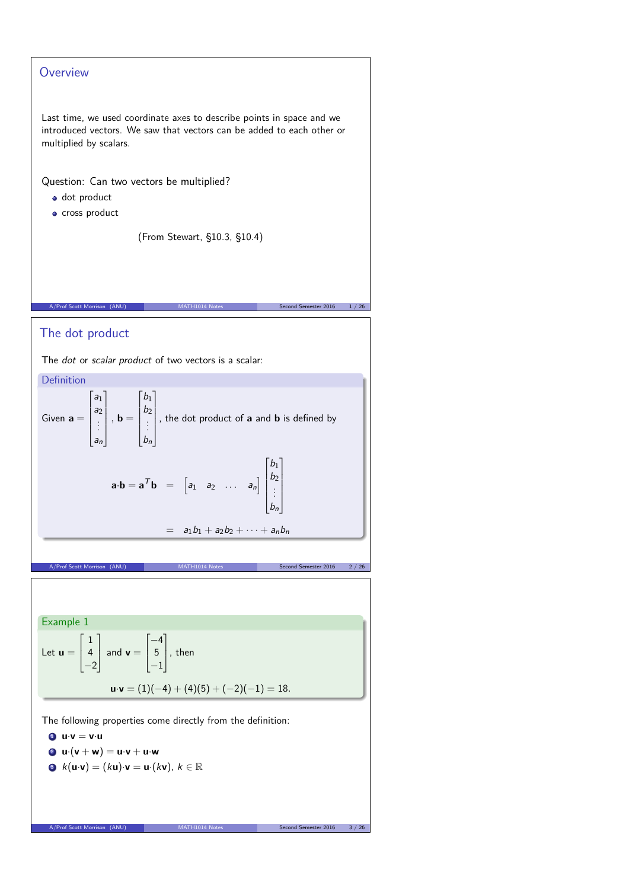# **Overview** Last time, we used coordinate axes to describe points in space and we introduced vectors. We saw that vectors can be added to each other or multiplied by scalars. Question: Can two vectors be multiplied? dot product **·** cross product (From Stewart, §10.3, §10.4) A/Prof Scott Morrison (ANU) MATH1014 Notes Second Semester 2016 1/26 The dot product

The *dot* or *scalar product* of two vectors is a scalar:

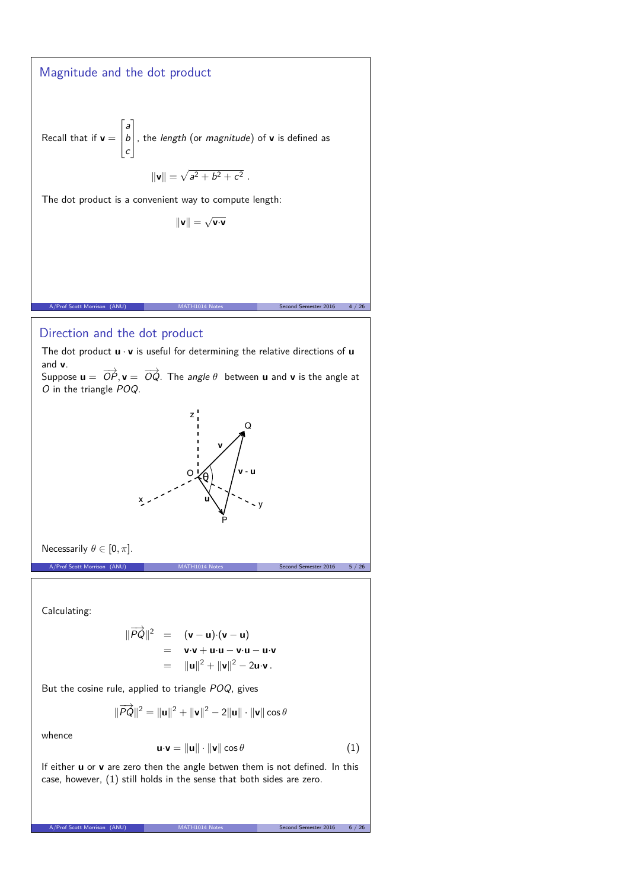## Magnitude and the dot product

Recall that if  $v =$  $\Gamma$  $\overline{ }$ a b c T , the length (or magnitude) of **<sup>v</sup>** is defined as

$$
\|\mathbf{v}\| = \sqrt{a^2 + b^2 + c^2} \; .
$$

The dot product is a convenient way to compute length:

$$
\|\mathbf{v}\|=\sqrt{\mathbf{v}\!\cdot\! \mathbf{v}}
$$

### Direction and the dot product

The dot product **u** · **v** is useful for determining the relative directions of **u** and **v**.

A/Prof Scott Morrison (ANU) MATH1014 Notes Second Semester 2016 4 / 26

Suppose  $\mathbf{u} = \overrightarrow{OP}, \mathbf{v} = \overrightarrow{OQ}$ . The *angle*  $\theta$  between  $\mathbf{u}$  and  $\mathbf{v}$  is the angle at O in the triangle POQ.



Necessarily  $\theta \in [0, \pi]$ .

A/Prof Scott Morrison (ANU) MATH1014 Notes Second Semester 2016 5 / 26

Calculating:

$$
\begin{array}{rcl}\n\|\overrightarrow{PQ}\|^2 &=& (\mathbf{v} - \mathbf{u}) \cdot (\mathbf{v} - \mathbf{u}) \\
&=& \mathbf{v} \cdot \mathbf{v} + \mathbf{u} \cdot \mathbf{u} - \mathbf{v} \cdot \mathbf{u} - \mathbf{u} \cdot \mathbf{v} \\
&=& \|\mathbf{u}\|^2 + \|\mathbf{v}\|^2 - 2\mathbf{u} \cdot \mathbf{v}\n\end{array}
$$

But the cosine rule, applied to triangle POQ, gives

$$
\|\overrightarrow{PQ}\|^2 = \|\mathbf{u}\|^2 + \|\mathbf{v}\|^2 - 2\|\mathbf{u}\| \cdot \|\mathbf{v}\| \cos \theta
$$

whence

$$
\mathbf{u} \cdot \mathbf{v} = \|\mathbf{u}\| \cdot \|\mathbf{v}\| \cos \theta \tag{1}
$$

If either **u** or **v** are zero then the angle betwen them is not defined. In this case, however, (1) still holds in the sense that both sides are zero.

A/Prof Scott Morrison (ANU) MATH1014 Notes Second Semester 2016 6 / 26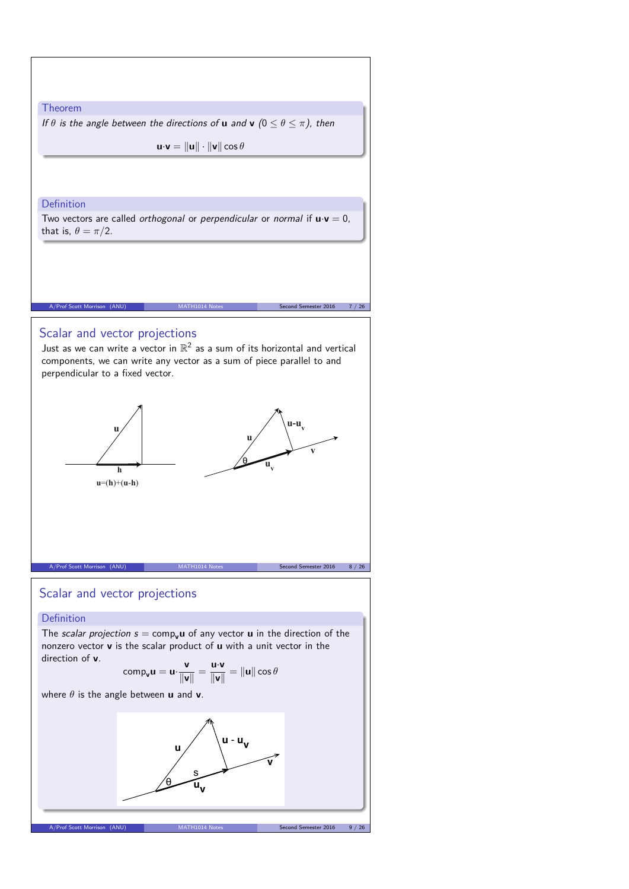

## Scalar and vector projections

## Definition

The scalar projection  $s = \text{comp}_v\mathbf{u}$  of any vector  $\mathbf{u}$  in the direction of the nonzero vector **v** is the scalar product of **u** with a unit vector in the direction of **v**.

$$
\text{comp}_{\mathbf{v}}\mathbf{u} = \mathbf{u} \cdot \frac{\mathbf{v}}{\|\mathbf{v}\|} = \frac{\mathbf{u} \cdot \mathbf{v}}{\|\mathbf{v}\|} = \|\mathbf{u}\| \cos \theta
$$

where *θ* is the angle between **u** and **v**.

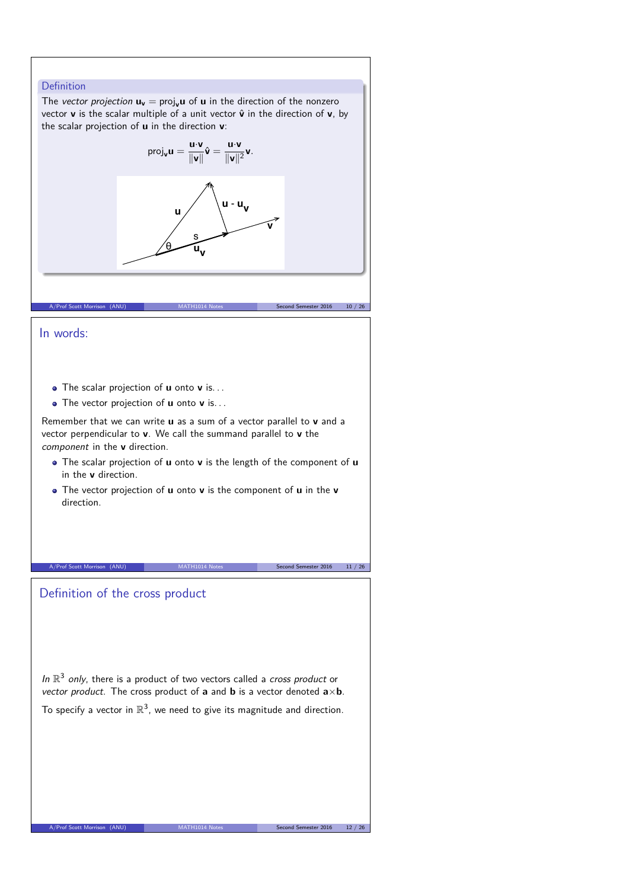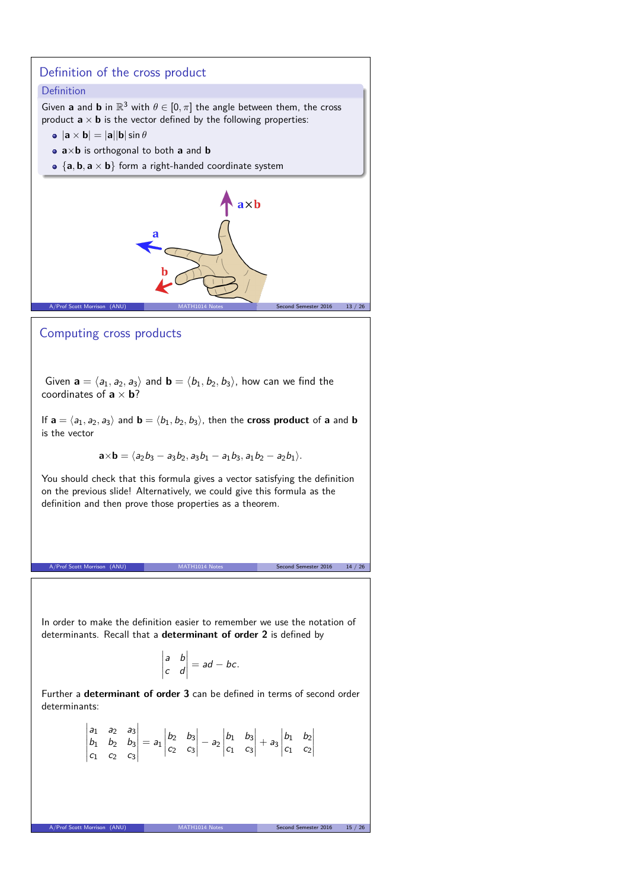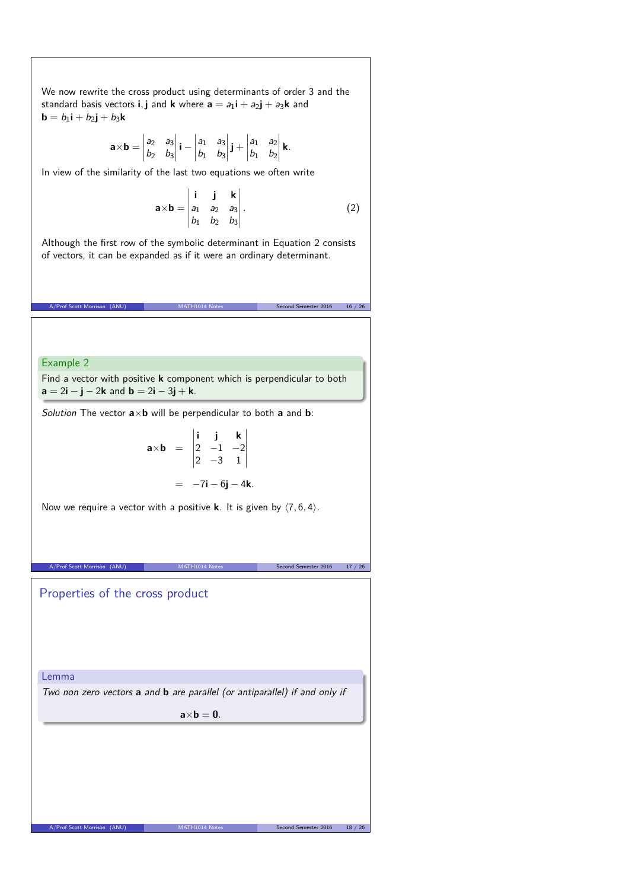We now rewrite the cross product using determinants of order 3 and the standard basis vectors **i**, **j** and **k** where  $\mathbf{a} = a_1 \mathbf{i} + a_2 \mathbf{j} + a_3 \mathbf{k}$  and **b** =  $b_1$ **i** +  $b_2$ **j** +  $b_3$ **k** 

$$
\mathbf{a} \times \mathbf{b} = \begin{vmatrix} a_2 & a_3 \\ b_2 & b_3 \end{vmatrix} \mathbf{i} - \begin{vmatrix} a_1 & a_3 \\ b_1 & b_3 \end{vmatrix} \mathbf{j} + \begin{vmatrix} a_1 & a_2 \\ b_1 & b_2 \end{vmatrix} \mathbf{k}.
$$

In view of the similarity of the last two equations we often write

$$
\mathbf{a} \times \mathbf{b} = \begin{vmatrix} \mathbf{i} & \mathbf{j} & \mathbf{k} \\ a_1 & a_2 & a_3 \\ b_1 & b_2 & b_3 \end{vmatrix} . \tag{2}
$$

Although the first row of the symbolic determinant in Equation 2 consists of vectors, it can be expanded as if it were an ordinary determinant.

A/Prof Scott Morrison (ANU) MATH1014 Notes Second Semester 2016 16 / 26

Example 2

Find a vector with positive **k** component which is perpendicular to both **a** =  $2i - j - 2k$  and **b** =  $2i - 3j + k$ .

 $\sim$ 

Solution The vector **a**×**b** will be perpendicular to both **a** and **b**:

$$
\mathbf{a} \times \mathbf{b} = \begin{vmatrix} \mathbf{i} & \mathbf{j} & \mathbf{k} \\ 2 & -1 & -2 \\ 2 & -3 & 1 \end{vmatrix}
$$
  
= -7\mathbf{i} - 6\mathbf{j} - 4\mathbf{k}.

 $\mathcal{L}$ 

Now we require a vector with a positive **k**. It is given by  $\langle 7, 6, 4 \rangle$ .

A/Prof Scott Morrison (ANU) MATH1014 Notes Second Semester 2016 17 / 26

Properties of the cross product

Lemma

Two non zero vectors **a** and **b** are parallel (or antiparallel) if and only if

 $a \times b = 0$ .

A/Prof Scott Morrison (ANU) MATH1014 Notes Second Semester 2016 18 / 26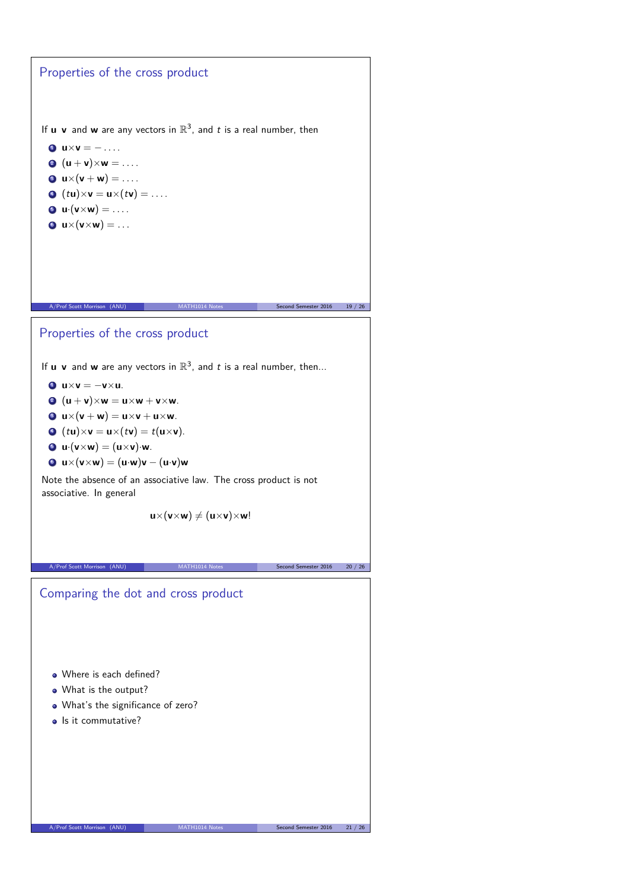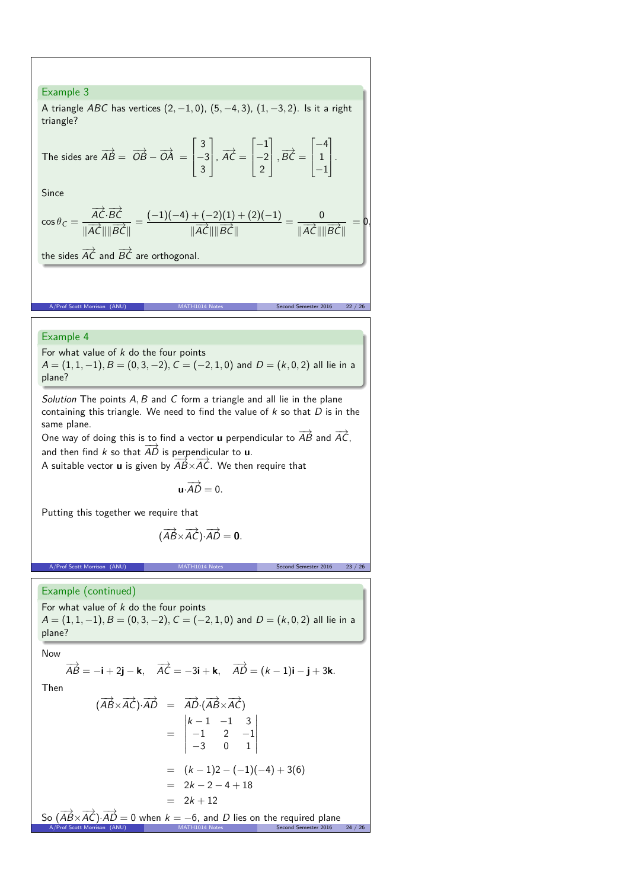## Example 3

A triangle ABC has vertices (2*,* −1*,* 0), (5*,* −4*,* 3), (1*,* −3*,* 2). Is it a right triangle?

The sides are 
$$
\overrightarrow{AB} = \overrightarrow{OB} - \overrightarrow{OA} = \begin{bmatrix} 3 \\ -3 \\ 3 \end{bmatrix}
$$
,  $\overrightarrow{AC} = \begin{bmatrix} -1 \\ -2 \\ 2 \end{bmatrix}$ ,  $\overrightarrow{BC} = \begin{bmatrix} -4 \\ 1 \\ -1 \end{bmatrix}$ .

Since

$$
\cos \theta_C = \frac{\overrightarrow{AC} \cdot \overrightarrow{BC}}{\|\overrightarrow{AC}\| \|\overrightarrow{BC}\|} = \frac{(-1)(-4) + (-2)(1) + (2)(-1)}{\|\overrightarrow{AC}\| \|\overrightarrow{BC}\|} = \frac{0}{\|\overrightarrow{AC}\| \|\overrightarrow{BC}\|} = 0.
$$

the sides  $\overrightarrow{AC}$  and  $\overrightarrow{BC}$  are orthogonal.

#### Example 4

A/Prof Scott Mor

For what value of  $k$  do the four points  $A = (1, 1, -1), B = (0, 3, -2), C = (-2, 1, 0)$  and  $D = (k, 0, 2)$  all lie in a plane?

Solution The points A, B and C form a triangle and all lie in the plane containing this triangle. We need to find the value of  $k$  so that  $D$  is in the same plane.

One way of doing this is to find a vector **u** perpendicular to  $\overrightarrow{AB}$  and  $\overrightarrow{AC}$ , and then find k so that  $\overrightarrow{AD}$  is perpendicular to **u**.

A suitable vector **u** is given by  $\overrightarrow{AB} \times \overrightarrow{AC}$ . We then require that

 $\mathbf{u} \cdot \overrightarrow{AD} = 0.$ 

Putting this together we require that

$$
(\overrightarrow{AB}\times\overrightarrow{AC})\cdot\overrightarrow{AD}=\mathbf{0}.
$$

A/Prof Scott Morrison (ANU) MATH1014 Notes Second Semester 2016 23

Example (continued)

For what value of  $k$  do the four points A = (1*,* 1*,* −1)*,* B = (0*,* 3*,* −2)*,* C = (−2*,* 1*,* 0) and D = (k*,* 0*,* 2) all lie in a plane?

Now

So (

A/Prof Scott Morrison (ANU)

$$
\overrightarrow{AB} = -\mathbf{i} + 2\mathbf{j} - \mathbf{k}, \quad \overrightarrow{AC} = -3\mathbf{i} + \mathbf{k}, \quad \overrightarrow{AD} = (k - 1)\mathbf{i} - \mathbf{j} + 3\mathbf{k}.
$$
  
Then  

$$
(\overrightarrow{AB} \times \overrightarrow{AC}) \cdot \overrightarrow{AD} = \overrightarrow{AD} \cdot (\overrightarrow{AB} \times \overrightarrow{AC})
$$

$$
= \begin{vmatrix} k - 1 & -1 & 3 \\ 1 & 2 & 1 \end{vmatrix}
$$

$$
= \begin{vmatrix} -1 & 2 & -1 \\ -3 & 0 & 1 \end{vmatrix}
$$
  
=  $(k-1)2 - (-1)(-4) + 3(6)$   
=  $2k - 2 - 4 + 18$   
=  $2k + 12$   
 $\overrightarrow{AB} \times \overrightarrow{AC} \cdot \overrightarrow{AD} = 0$  when  $k = -6$ , and *D* lies on the required plane  
of Scott Morrison (AND)